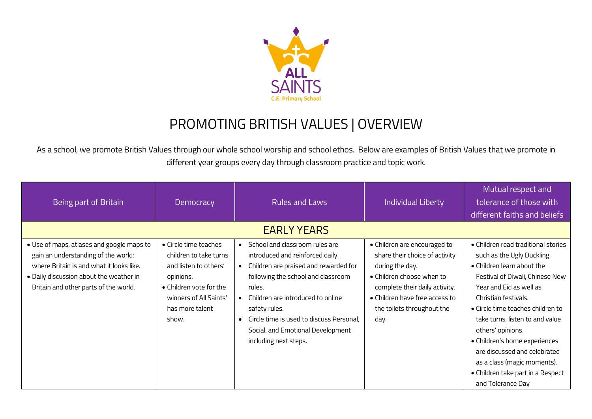

## PROMOTING BRITISH VALUES | OVERVIEW

As a school, we promote British Values through our whole school worship and school ethos. Below are examples of British Values that we promote in different year groups every day through classroom practice and topic work.

| Being part of Britain                                                                                                                                                                                            | Democracy                                                                                                                                                              | <b>Rules and Laws</b>                                                                                                                                                                                                                                                                                                       | <b>Individual Liberty</b>                                                                                                                                                                                                | Mutual respect and<br>tolerance of those with<br>different faiths and beliefs                                                                                                                                                                                                                                                                                                                                                                |  |
|------------------------------------------------------------------------------------------------------------------------------------------------------------------------------------------------------------------|------------------------------------------------------------------------------------------------------------------------------------------------------------------------|-----------------------------------------------------------------------------------------------------------------------------------------------------------------------------------------------------------------------------------------------------------------------------------------------------------------------------|--------------------------------------------------------------------------------------------------------------------------------------------------------------------------------------------------------------------------|----------------------------------------------------------------------------------------------------------------------------------------------------------------------------------------------------------------------------------------------------------------------------------------------------------------------------------------------------------------------------------------------------------------------------------------------|--|
| <b>EARLY YEARS</b>                                                                                                                                                                                               |                                                                                                                                                                        |                                                                                                                                                                                                                                                                                                                             |                                                                                                                                                                                                                          |                                                                                                                                                                                                                                                                                                                                                                                                                                              |  |
| • Use of maps, atlases and google maps to<br>gain an understanding of the world:<br>where Britain is and what it looks like.<br>. Daily discussion about the weather in<br>Britain and other parts of the world. | • Circle time teaches<br>children to take turns<br>and listen to others'<br>opinions.<br>• Children vote for the<br>winners of All Saints'<br>has more talent<br>show. | School and classroom rules are<br>introduced and reinforced daily.<br>Children are praised and rewarded for<br>following the school and classroom<br>rules.<br>Children are introduced to online<br>safety rules.<br>Circle time is used to discuss Personal,<br>Social, and Emotional Development<br>including next steps. | • Children are encouraged to<br>share their choice of activity<br>during the day.<br>• Children choose when to<br>complete their daily activity.<br>• Children have free access to<br>the toilets throughout the<br>day. | • Children read traditional stories<br>such as the Ugly Duckling.<br>• Children learn about the<br>Festival of Diwali, Chinese New<br>Year and Eid as well as<br>Christian festivals.<br>• Circle time teaches children to<br>take turns, listen to and value<br>others' opinions.<br>· Children's home experiences<br>are discussed and celebrated<br>as a class (magic moments).<br>• Children take part in a Respect<br>and Tolerance Day |  |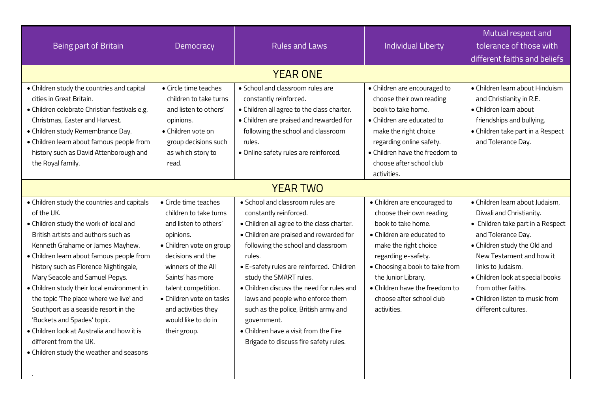| Being part of Britain                                                                                                                                                                                                                                                                                                                                                                                                                                                                                                                                                                       | Democracy                                                                                                                                                                                                                                                                                                 | <b>Rules and Laws</b>                                                                                                                                                                                                                                                                                                                                                                                                                                                                                | <b>Individual Liberty</b>                                                                                                                                                                                                                                                                          | Mutual respect and<br>tolerance of those with<br>different faiths and beliefs                                                                                                                                                                                                                                               |
|---------------------------------------------------------------------------------------------------------------------------------------------------------------------------------------------------------------------------------------------------------------------------------------------------------------------------------------------------------------------------------------------------------------------------------------------------------------------------------------------------------------------------------------------------------------------------------------------|-----------------------------------------------------------------------------------------------------------------------------------------------------------------------------------------------------------------------------------------------------------------------------------------------------------|------------------------------------------------------------------------------------------------------------------------------------------------------------------------------------------------------------------------------------------------------------------------------------------------------------------------------------------------------------------------------------------------------------------------------------------------------------------------------------------------------|----------------------------------------------------------------------------------------------------------------------------------------------------------------------------------------------------------------------------------------------------------------------------------------------------|-----------------------------------------------------------------------------------------------------------------------------------------------------------------------------------------------------------------------------------------------------------------------------------------------------------------------------|
|                                                                                                                                                                                                                                                                                                                                                                                                                                                                                                                                                                                             |                                                                                                                                                                                                                                                                                                           | <b>YEAR ONE</b>                                                                                                                                                                                                                                                                                                                                                                                                                                                                                      |                                                                                                                                                                                                                                                                                                    |                                                                                                                                                                                                                                                                                                                             |
| • Children study the countries and capital<br>cities in Great Britain.<br>· Children celebrate Christian festivals e.g.<br>Christmas, Easter and Harvest.<br>• Children study Remembrance Day.<br>· Children learn about famous people from<br>history such as David Attenborough and<br>the Royal family.                                                                                                                                                                                                                                                                                  | • Circle time teaches<br>children to take turns<br>and listen to others'<br>opinions.<br>• Children vote on<br>group decisions such<br>as which story to<br>read.                                                                                                                                         | • School and classroom rules are<br>constantly reinforced.<br>. Children all agree to the class charter.<br>· Children are praised and rewarded for<br>following the school and classroom<br>rules.<br>· Online safety rules are reinforced.                                                                                                                                                                                                                                                         | • Children are encouraged to<br>choose their own reading<br>book to take home.<br>• Children are educated to<br>make the right choice<br>regarding online safety.<br>• Children have the freedom to<br>choose after school club<br>activities.                                                     | · Children learn about Hinduism<br>and Christianity in R.E.<br>• Children learn about<br>friendships and bullying.<br>• Children take part in a Respect<br>and Tolerance Day.                                                                                                                                               |
|                                                                                                                                                                                                                                                                                                                                                                                                                                                                                                                                                                                             |                                                                                                                                                                                                                                                                                                           | <b>YEAR TWO</b>                                                                                                                                                                                                                                                                                                                                                                                                                                                                                      |                                                                                                                                                                                                                                                                                                    |                                                                                                                                                                                                                                                                                                                             |
| • Children study the countries and capitals<br>of the UK.<br>. Children study the work of local and<br>British artists and authors such as<br>Kenneth Grahame or James Mayhew.<br>· Children learn about famous people from<br>history such as Florence Nightingale,<br>Mary Seacole and Samuel Pepys.<br>• Children study their local environment in<br>the topic 'The place where we live' and<br>Southport as a seaside resort in the<br>'Buckets and Spades' topic.<br>• Children look at Australia and how it is<br>different from the UK.<br>• Children study the weather and seasons | • Circle time teaches<br>children to take turns<br>and listen to others'<br>opinions.<br>• Children vote on group<br>decisions and the<br>winners of the All<br>Saints' has more<br>talent competition.<br>$\bullet$ Children vote on tasks<br>and activities they<br>would like to do in<br>their group. | • School and classroom rules are<br>constantly reinforced.<br>• Children all agree to the class charter.<br>· Children are praised and rewarded for<br>following the school and classroom<br>rules.<br>· E-safety rules are reinforced. Children<br>study the SMART rules.<br>• Children discuss the need for rules and<br>laws and people who enforce them<br>such as the police, British army and<br>government.<br>• Children have a visit from the Fire<br>Brigade to discuss fire safety rules. | · Children are encouraged to<br>choose their own reading<br>book to take home.<br>• Children are educated to<br>make the right choice<br>regarding e-safety.<br>• Choosing a book to take from<br>the Junior Library.<br>• Children have the freedom to<br>choose after school club<br>activities. | · Children learn about Judaism,<br>Diwali and Christianity.<br>• Children take part in a Respect<br>and Tolerance Day.<br>• Children study the Old and<br>New Testament and how it<br>links to Judaism.<br>· Children look at special books<br>from other faiths.<br>• Children listen to music from<br>different cultures. |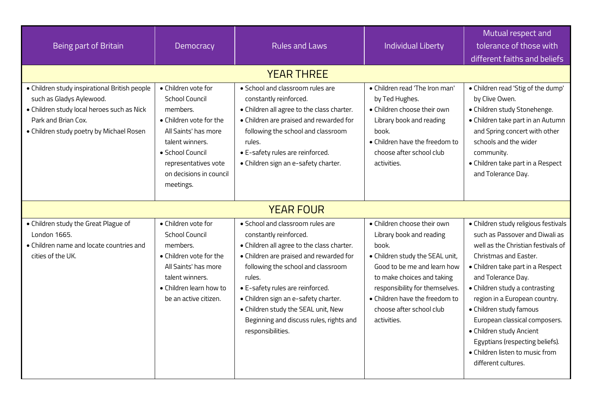| Being part of Britain                                                                                                                                                                      | Democracy                                                                                                                                                                                                          | <b>Rules and Laws</b>                                                                                                                                                                                                                                                                                                                                                                  | <b>Individual Liberty</b>                                                                                                                                                                                                                                                       | Mutual respect and<br>tolerance of those with<br>different faiths and beliefs                                                                                                                                                                                                                                                                                                                                                                                   |  |  |
|--------------------------------------------------------------------------------------------------------------------------------------------------------------------------------------------|--------------------------------------------------------------------------------------------------------------------------------------------------------------------------------------------------------------------|----------------------------------------------------------------------------------------------------------------------------------------------------------------------------------------------------------------------------------------------------------------------------------------------------------------------------------------------------------------------------------------|---------------------------------------------------------------------------------------------------------------------------------------------------------------------------------------------------------------------------------------------------------------------------------|-----------------------------------------------------------------------------------------------------------------------------------------------------------------------------------------------------------------------------------------------------------------------------------------------------------------------------------------------------------------------------------------------------------------------------------------------------------------|--|--|
| <b>YEAR THREE</b>                                                                                                                                                                          |                                                                                                                                                                                                                    |                                                                                                                                                                                                                                                                                                                                                                                        |                                                                                                                                                                                                                                                                                 |                                                                                                                                                                                                                                                                                                                                                                                                                                                                 |  |  |
| · Children study inspirational British people<br>such as Gladys Aylewood.<br>· Children study local heroes such as Nick<br>Park and Brian Cox.<br>• Children study poetry by Michael Rosen | • Children vote for<br><b>School Council</b><br>members.<br>• Children vote for the<br>All Saints' has more<br>talent winners.<br>· School Council<br>representatives vote<br>on decisions in council<br>meetings. | · School and classroom rules are<br>constantly reinforced.<br>• Children all agree to the class charter.<br>· Children are praised and rewarded for<br>following the school and classroom<br>rules.<br>• E-safety rules are reinforced.<br>· Children sign an e-safety charter.                                                                                                        | . Children read 'The Iron man'<br>by Ted Hughes.<br>· Children choose their own<br>Library book and reading<br>book.<br>• Children have the freedom to<br>choose after school club<br>activities.                                                                               | • Children read 'Stig of the dump'<br>by Clive Owen.<br>· Children study Stonehenge.<br>• Children take part in an Autumn<br>and Spring concert with other<br>schools and the wider<br>community.<br>• Children take part in a Respect<br>and Tolerance Day.                                                                                                                                                                                                    |  |  |
|                                                                                                                                                                                            | <b>YEAR FOUR</b>                                                                                                                                                                                                   |                                                                                                                                                                                                                                                                                                                                                                                        |                                                                                                                                                                                                                                                                                 |                                                                                                                                                                                                                                                                                                                                                                                                                                                                 |  |  |
| · Children study the Great Plague of<br>London 1665.<br>• Children name and locate countries and<br>cities of the UK.                                                                      | • Children vote for<br><b>School Council</b><br>members.<br>• Children vote for the<br>All Saints' has more<br>talent winners.<br>• Children learn how to<br>be an active citizen.                                 | • School and classroom rules are<br>constantly reinforced.<br>. Children all agree to the class charter.<br>• Children are praised and rewarded for<br>following the school and classroom<br>rules.<br>• E-safety rules are reinforced.<br>· Children sign an e-safety charter.<br>· Children study the SEAL unit, New<br>Beginning and discuss rules, rights and<br>responsibilities. | • Children choose their own<br>Library book and reading<br>book.<br>• Children study the SEAL unit,<br>Good to be me and learn how<br>to make choices and taking<br>responsibility for themselves.<br>• Children have the freedom to<br>choose after school club<br>activities. | · Children study religious festivals<br>such as Passover and Diwali as<br>well as the Christian festivals of<br><b>Christmas and Easter.</b><br>• Children take part in a Respect<br>and Tolerance Day.<br>• Children study a contrasting<br>region in a European country.<br>• Children study famous<br>European classical composers.<br>• Children study Ancient<br>Egyptians (respecting beliefs).<br>• Children listen to music from<br>different cultures. |  |  |